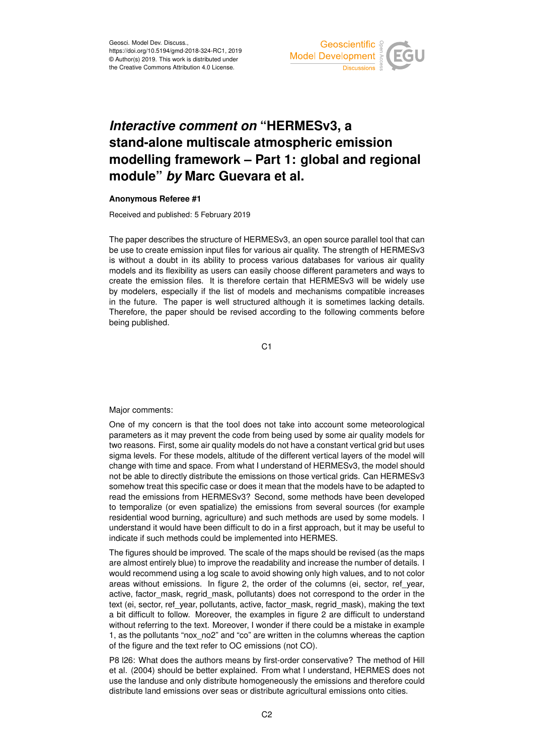

## *Interactive comment on* **"HERMESv3, a stand-alone multiscale atmospheric emission modelling framework – Part 1: global and regional module"** *by* **Marc Guevara et al.**

## **Anonymous Referee #1**

Received and published: 5 February 2019

The paper describes the structure of HERMESv3, an open source parallel tool that can be use to create emission input files for various air quality. The strength of HERMESv3 is without a doubt in its ability to process various databases for various air quality models and its flexibility as users can easily choose different parameters and ways to create the emission files. It is therefore certain that HERMESv3 will be widely use by modelers, especially if the list of models and mechanisms compatible increases in the future. The paper is well structured although it is sometimes lacking details. Therefore, the paper should be revised according to the following comments before being published.

C1

Major comments:

One of my concern is that the tool does not take into account some meteorological parameters as it may prevent the code from being used by some air quality models for two reasons. First, some air quality models do not have a constant vertical grid but uses sigma levels. For these models, altitude of the different vertical layers of the model will change with time and space. From what I understand of HERMESv3, the model should not be able to directly distribute the emissions on those vertical grids. Can HERMESv3 somehow treat this specific case or does it mean that the models have to be adapted to read the emissions from HERMESv3? Second, some methods have been developed to temporalize (or even spatialize) the emissions from several sources (for example residential wood burning, agriculture) and such methods are used by some models. I understand it would have been difficult to do in a first approach, but it may be useful to indicate if such methods could be implemented into HERMES.

The figures should be improved. The scale of the maps should be revised (as the maps are almost entirely blue) to improve the readability and increase the number of details. I would recommend using a log scale to avoid showing only high values, and to not color areas without emissions. In figure 2, the order of the columns (ei, sector, ref\_year, active, factor mask, regrid mask, pollutants) does not correspond to the order in the text (ei, sector, ref\_year, pollutants, active, factor\_mask, regrid\_mask), making the text a bit difficult to follow. Moreover, the examples in figure 2 are difficult to understand without referring to the text. Moreover, I wonder if there could be a mistake in example 1, as the pollutants "nox\_no2" and "co" are written in the columns whereas the caption of the figure and the text refer to OC emissions (not CO).

P8 l26: What does the authors means by first-order conservative? The method of Hill et al. (2004) should be better explained. From what I understand, HERMES does not use the landuse and only distribute homogeneously the emissions and therefore could distribute land emissions over seas or distribute agricultural emissions onto cities.